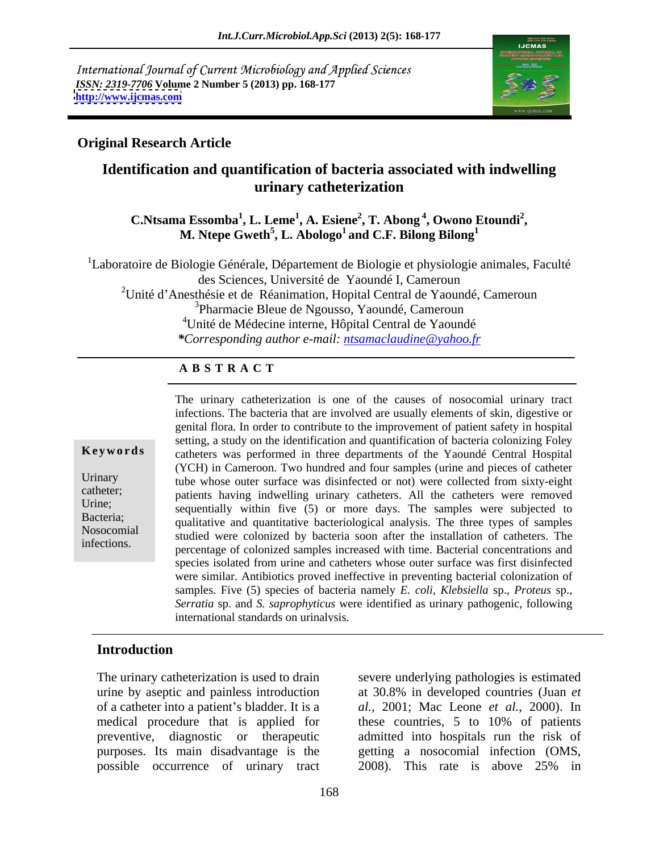International Journal of Current Microbiology and Applied Sciences *ISSN: 2319-7706* **Volume 2 Number 5 (2013) pp. 168-177 <http://www.ijcmas.com>**



## **Original Research Article**

## **Identification and quantification of bacteria associated with indwelling urinary catheterization**

**C.Ntsama Essomba<sup>1</sup> , L. Leme<sup>1</sup> , A. Esiene<sup>2</sup> , T. Abong <sup>4</sup> , Owono Etoundi<sup>2</sup>** a Essomba<sup>1</sup>, L. Leme<sup>1</sup>, A. Esiene<sup>2</sup>, T. Abong <sup>4</sup>, Owono Etoundi<sup>2</sup>,<br>M. Ntepe Gweth<sup>5</sup>, L. Abologo<sup>1</sup> and C.F. Bilong Bilong<sup>1</sup> **and C.F. Bilong Bilong<sup>1</sup>**

<sup>1</sup>Laboratoire de Biologie Générale, Département de Biologie et physiologie animales, Faculté des Sciences, Université de Yaoundé I, Cameroun

<sup>2</sup>Unité d'Anesthésie et de Réanimation, Hopital Central de Yaoundé, Cameroun

3Pharmacie Bleue de Ngousso, Yaoundé, Cameroun

4Unité de Médecine interne, Hôpital Central de Yaoundé

*\*Corresponding author e-mail: ntsamaclaudine@yahoo.fr*

## **A B S T R A C T**

Bacteria; qualitative and quantitative bacteriological analysis. The three types of samples **Keywords** catheters was performed in three departments of the Yaoundé Central Hospital Urinary tube whose outer surface was disinfected or not) were collected from sixty-eight catheter; patients having indwelling urinary catheters. All the catheters were removed Urine;<br>
sequentially within five (5) or more days. The samples were subjected to Nosocomial studied were colonized by bacteria soon after the installation of catheters. The The urinary catheterization is one of the causes of nosocomial urinary tract<br>infections. The bacteria that are involved are usually elements of skin, digestive or<br>genital flora. In order to contribute to the improvement of infections. The bacteria that are involved are usually elements of skin, digestive or genital flora. In order to contribute to the improvement of patient safety in hospital setting, a study on the identification and quantification of bacteria colonizing Foley (YCH) in Cameroon. Two hundred and four samples (urine and pieces of catheter percentage of colonized samples increased with time. Bacterial concentrations and species isolated from urine and catheters whose outer surface was first disinfected were similar. Antibiotics proved ineffective in preventing bacterial colonization of samples. Five (5) species of bacteria namely *E. coli, Klebsiella* sp., *Proteus* sp., *Serratia* sp. and *S. saprophyticus* were identified as urinary pathogenic, following international standards on urinalysis.

## **Introduction**

The urinary catheterization is used to drain severe underlying pathologies is estimated urine by aseptic and painless introduction possible occurrence of urinary tract 2008). This rate is above 25% in

of a catheter into a patient s bladder. It is a *al.*, 2001; Mac Leone *et al.*, 2000). In medical procedure that is applied for these countries, 5 to 10% of patients preventive, diagnostic or therapeutic admitted into hospitals run the risk of purposes. Its main disadvantage is the getting a nosocomial infection (OMS, at 30.8% in developed countries (Juan *et*  2008). This rate is above 25% in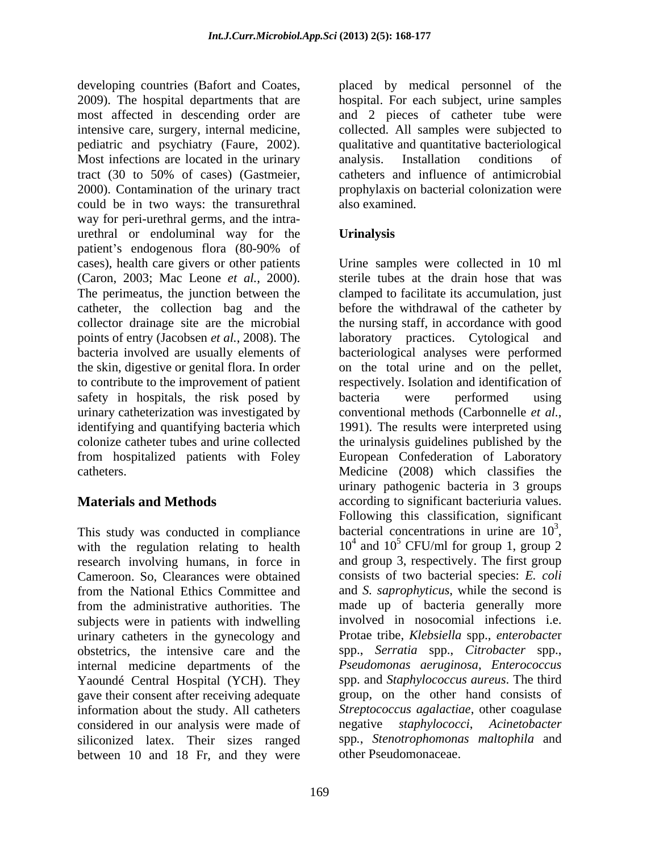developing countries (Bafort and Coates, placed by medical personnel of the 2009). The hospital departments that are hospital. For each subject, urine samples most affected in descending order are and 2 pieces of catheter tube were intensive care, surgery, internal medicine, collected. All samples were subjected to pediatric and psychiatry (Faure, 2002). <br>
Most infections are located in the urinary analysis. Installation conditions of tract (30 to 50% of cases) (Gastmeier, 2000). Contamination of the urinary tract prophylaxis on bacterial colonization were could be in two ways: the transurethral way for peri-urethral germs, and the intra urethral or endoluminal way for the patient's endogenous flora (80-90% of bacteria involved are usually elements of the skin, digestive or genital flora. In order to contribute to the improvement of patient respectively. Isolation and identification of safety in hospitals, the risk posed by bacteria were performed using urinary catheterization was investigated by conventional methods (Carbonnelle *et al.*, identifying and quantifying bacteria which 1991). The results were interpreted using

This study was conducted in compliance with the regulation relating to health research involving humans, in force in from the National Ethics Committee and from the administrative authorities. The subjects were in patients with indwelling urinary catheters in the gynecology and internal medicine departments of the Yaoundé Central Hospital (YCH). They gave their consent after receiving adequate information about the study. All catheters Streptoco considered in our analysis were made of negative considered in our analysis were made of siliconized latex. Their sizes ranged between 10 and 18 Fr, and they were

qualitative and quantitative bacteriological analysis. Installation conditions of catheters and influence of antimicrobial also examined.

## **Urinalysis**

cases), health care givers or other patients Urine samples were collected in 10 ml (Caron, 2003; Mac Leone *et al.*, 2000). Sterile tubes at the drain hose that was The perimeatus, the junction between the clamped to facilitate its accumulation, just catheter, the collection bag and the before the withdrawal of the catheter by collector drainage site are the microbial the nursing staff, in accordance with good points of entry (Jacobsen *et al.*, 2008). The laboratory practices. Cytological and colonize catheter tubes and urine collected the urinalysis guidelines published by the from hospitalized patients with Foley European Confederation of Laboratory catheters. Medicine (2008) which classifies the **Materials and Methods according to significant bacteriuria values.** Cameroon. So, Clearances were obtained consists of two bacterial species: *E. coli* obstetrics, the intensive care and the spp., *Serratia* spp., *Citrobacter* spp., sterile tubes at the drain hose that was clamped to facilitate its accumulation, just bacteriological analyses were performed on the total urine and on the pellet, respectively. Isolation and identification of bacteria were performed using conventional methods (Carbonnelle *et al.*, 1991). The results were interpreted using urinary pathogenic bacteria in 3 groups Following this classification, significant bacterial concentrations in urine are  $10^3$ , 3 bacterial concentrations in urine are  $10^3$ ,<br> $10^4$  and  $10^5$  CFU/ml for group 1, group 2 and  $10^5$  CFU/ml for group 1, group 2 and group 3, respectively. The first group and *S. saprophyticus*, while the second is made up of bacteria generally more involved in nosocomial infections i.e. Protae tribe, *Klebsiella* spp., *enterobacte*r *Pseudomonas aeruginosa*, *Enterococcus*  spp. and *Staphylococcus aureus*. The third group, on the other hand consists of *Streptococcus agalactiae*, other coagulase negative *staphylococci*, *Acinetobacter* spp*.*, *Stenotrophomonas maltophila* and other Pseudomonaceae.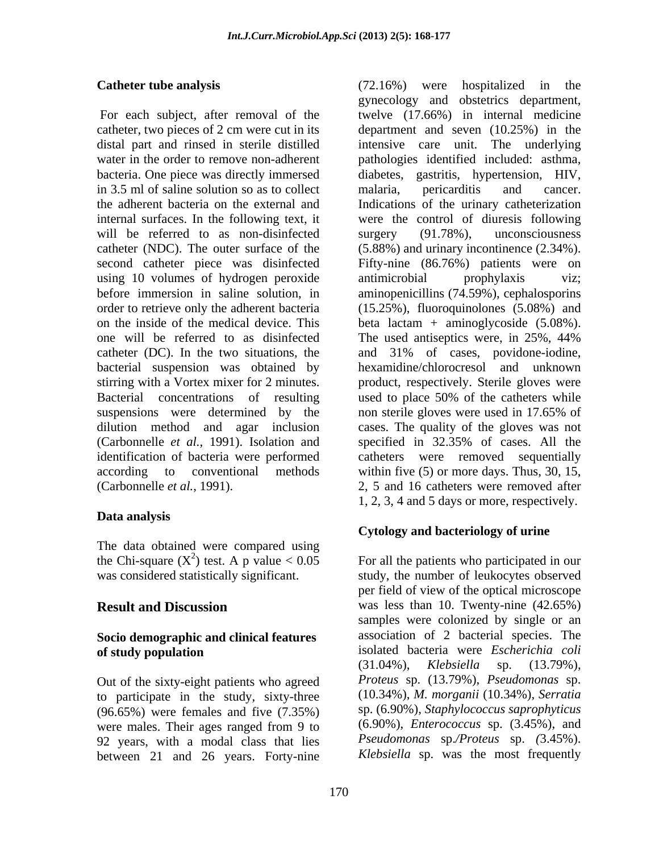in 3.5 ml of saline solution so as to collect malaria, pericarditis and cancer. will be referred to as non-disinfected surgery (91.78%), unconsciousness using 10 volumes of hydrogen peroxide antimicrobial prophylaxis viz; one will be referred to as disinfected The used antiseptics were, in 25%, 44% bacterial suspension was obtained by Bacterial concentrations of resulting used to place 50% of the catheters while suspensions were determined by the non-sterile-gloves were used in 17.65% of (Carbonnelle *et al.*, 1991). Isolation and

## **Data analysis**

The data obtained were compared using the Chi-square  $(X^2)$  test. A p value  $< 0.05$  For all the patients who participated in our

# **Socio demographic and clinical features**

Out of the sixty-eight patients who agreed to participate in the study, sixty-three (96.65%) were females and five (7.35%) were males. Their ages ranged from 9 to 92 years, with a modal class that lies between 21 and 26 years. Forty-nine

**Catheter tube analysis** (72.16%) were hospitalized in the For each subject, after removal of the twelve (17.66%) in internal medicine catheter, two pieces of 2 cm were cut in its department and seven (10.25%) in the distal part and rinsed in sterile distilled intensive care unit. The underlying water in the order to remove non-adherent pathologies identified included: asthma, bacteria. One piece was directly immersed diabetes, gastritis, hypertension, HIV, the adherent bacteria on the external and Indications of the urinary catheterization internal surfaces. In the following text, it were the control of diuresis following catheter (NDC). The outer surface of the (5.88%) and urinary incontinence (2.34%). second catheter piece was disinfected Fifty-nine (86.76%) patients were on before immersion in saline solution, in aminopenicillins (74.59%), cephalosporins order to retrieve only the adherent bacteria (15.25%), fluoroquinolones (5.08%) and on the inside of the medical device. This beta lactam + aminoglycoside (5.08%). catheter (DC). In the two situations, the and 31% of cases, povidone-iodine, stirring with a Vortex mixer for 2 minutes. product, respectively. Sterile gloves were dilution method and agar inclusion cases. The quality of the gloves was not identification of bacteria were performed catheters were removed sequentially according to conventional methods within five (5) or more days. Thus, 30, 15, (Carbonnelle *et al.*, 1991). 2, 5 and 16 catheters were removed after (72.16%) were hospitalized in the gynecology and obstetrics department, malaria, pericarditis and cancer. surgery (91.78%), unconsciousness antimicrobial prophylaxis viz; The used antiseptics were, in 25%, 44% hexamidine/chlorocresol and unknown used to place 50% of the catheters while non sterile gloves were used in 17.65% of specified in 32.35% of cases. All the 1, 2, 3, 4 and 5 days or more, respectively.

## **Cytology and bacteriology of urine**

was considered statistically significant. study, the number of leukocytes observed **Result and Discussion** was less than 10. Twenty-nine (42.65%) **of study population** isolated bacteria were *Escherichia coli* per field of view of the optical microscope samples were colonized by single or an association of 2 bacterial species. The (31.04%), *Klebsiella* sp. (13.79%), *Proteus* sp. (13.79%), *Pseudomonas* sp. (10.34%), *M. morganii* (10.34%), *Serratia*  sp. (6.90%), *Staphylococcus saprophyticus* (6.90%), *Enterococcus* sp. (3.45%), and *Pseudomonas* sp.*/Proteus* sp. *(*3.45%). *Klebsiella* sp. was the most frequently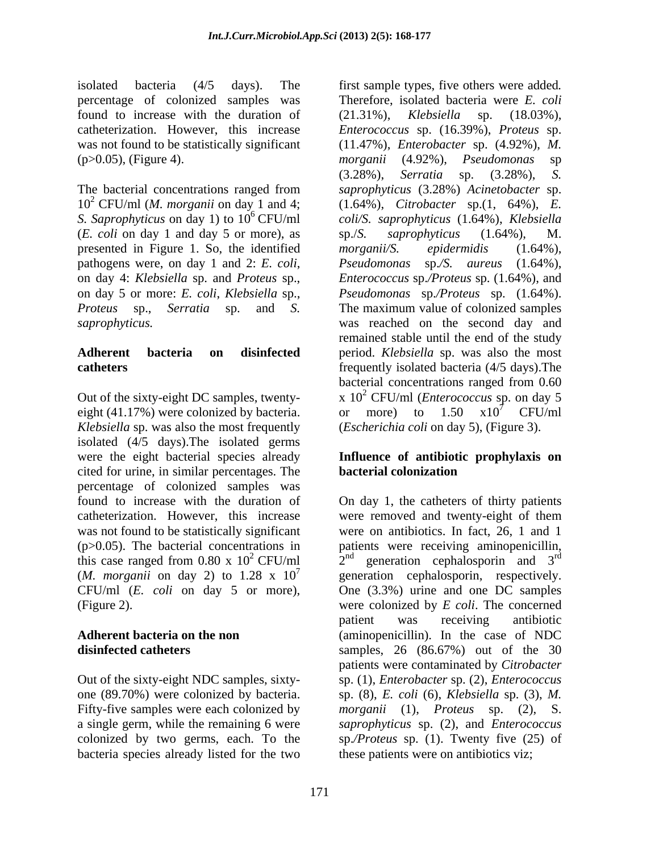percentage of colonized samples was found to increase with the duration of  $(21.31\%)$ , *Klebsiella* sp.  $(18.03\%)$ , was not found to be statistically significant  $(p>0.05)$ , (Figure 4).  $morganii \quad (4.92\%)$ , *Pseudomonas* sp

The bacterial concentrations ranged from (*E. coli* on day 1 and day 5 or more), as presented in Figure 1. So, the identified morganii/S. epidermidis (1.64%),

eight (41.17%) were colonized by bacteria. or more) to  $1.50 \times 10^{7}$  CFU/ml *Klebsiella* sp. was also the most frequently isolated (4/5 days).The isolated germs were the eight bacterial species already **Influence of antibiotic prophylaxis on** cited for urine, in similar percentages. The percentage of colonized samples was catheterization. However, this increase this case ranged from 0.80 x  $10^2$  CFU/ml  $2^{\text{nd}}$ (*M. morganii* on day 2) to 1.28 x  $10^7$  generation cephalosporin, respectively. CFU/ml (*E. coli* on day 5 or more),

Fifty-five samples were each colonized by bacteria species already listed for the two

isolated bacteria (4/5 days). The first sample types, five others were added*.* catheterization. However, this increase *Enterococcus* sp. (16.39%), *Proteus* sp. 10<sup>2</sup> CFU/ml (*M. morganii* on day 1 and 4; (1.64%), *Citrobacter* sp.(1, 64%), *E. S. Saprophyticus* on day 1) to 10 <sup>6</sup> CFU/ml *coli/S. saprophyticus* (1.64%), *Klebsiella*  pathogens were, on day 1 and 2: *E. coli*, *Pseudomonas* sp./S. *aureus* (1.64%), on day 4: *Klebsiella* sp. and *Proteus* sp., *Enterococcus* sp./Proteus sp. (1.64%), and on day 5 or more: *E. coli*, *Klebsiella* sp., *Pseudomonas* sp.*/Proteus* sp. (1.64%). *Proteus* sp., *Serratia* sp. and *S.*  The maximum value of colonized samples *saprophyticus.* was reached on the second day and **Adherent bacteria on disinfected** period. *Klebsiella* sp. was also the most **catheters** frequently isolated bacteria (4/5 days).The Out of the sixty-eight DC samples, twenty-<br> $x 10^2$  CFU/ml (*Enterococcus* sp. on day 5 Therefore, isolated bacteria were *E. coli* (21.31%), *Klebsiella* sp. (18.03%), (11.47%), *Enterobacter* sp. (4.92%), *M. morganii* (4.92%),*Pseudomonas* sp (3.28%), *Serratia* sp. (3.28%), *S. saprophyticus* (3.28%) *Acinetobacter* sp. sp./*S. saprophyticus* (1.64%), M. *morganii/S. epidermidis* (1.64%), *Pseudomonas* sp.*/S. aureus* (1.64%), *Enterococcus* sp.*/Proteus* sp. (1.64%), and remained stable until the end of the study bacterial concentrations ranged from 0.60 or more) to  $1.50 \times 10^{7}$  CFU/ml  $^7$  CFU/ml (*Escherichia coli* on day 5), (Figure 3).

# **bacterial colonization**

found to increase with the duration of On day 1, the catheters of thirty patients was not found to be statistically significant were on antibiotics. In fact, 26, 1 and 1 (p>0.05). The bacterial concentrations in patients were receiving aminopenicillin, (Figure 2). were colonized by *E coli*. The concerned **Adherent bacteria on the non**  (aminopenicillin). In the case of NDC **disinfected catheters** samples, 26 (86.67%) out of the 30 Out of the sixty-eight NDC samples, sixty- sp. (1), *Enterobacter* sp. (2), *Enterococcus*  one (89.70%) were colonized by bacteria. sp. (8), *E. coli* (6), *Klebsiella* sp. (3), *M.*  a single germ, while the remaining 6 were *saprophyticus* sp. (2), and *Enterococcus*  colonized by two germs, each. To the sp.*/Proteus* sp. (1). Twenty five (25) of were removed and twenty-eight of them  $2<sup>nd</sup>$  generation cephalosporin and  $3<sup>rd</sup>$ rd generation cephalosporin, respectively. One (3.3%) urine and one DC samples patient was receiving antibiotic patients were contaminated by *Citrobacter morganii* (1), *Proteus* sp. (2), S. these patients were on antibiotics viz;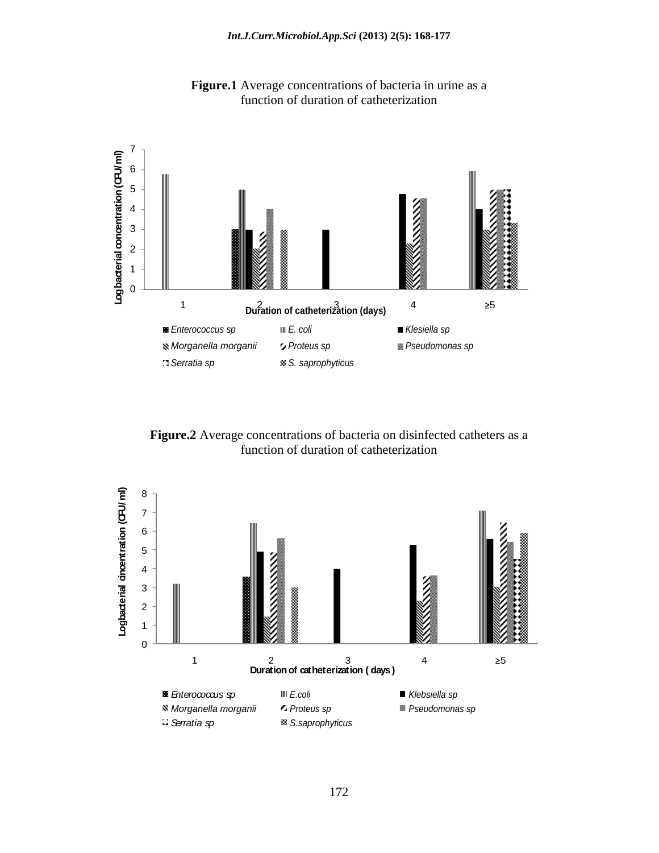

**Figure.1** Average concentrations of bacteria in urine as a function of duration of catheterization

**Figure.2** Average concentrations of bacteria on disinfected catheters as a function of duration of catheterization

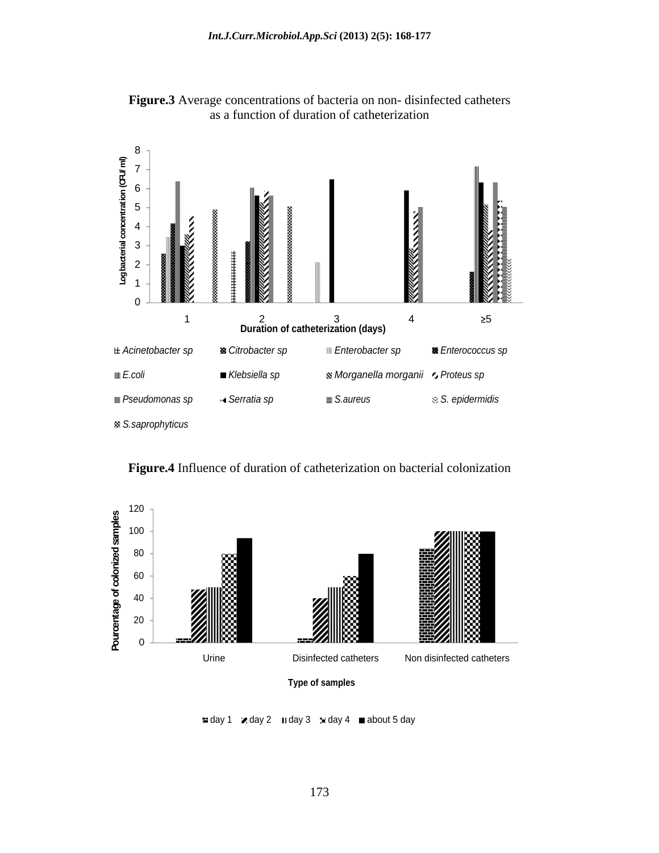

**Figure.3** Average concentrations of bacteria on non- disinfected catheters as a function of duration of catheterization



**Figure.4** Influence of duration of catheterization on bacterial colonization

 $\equiv$  day 1  $\ltimes$  day 2  $\mod{3}$   $\ltimes$  day 4  $\mod{5}$  day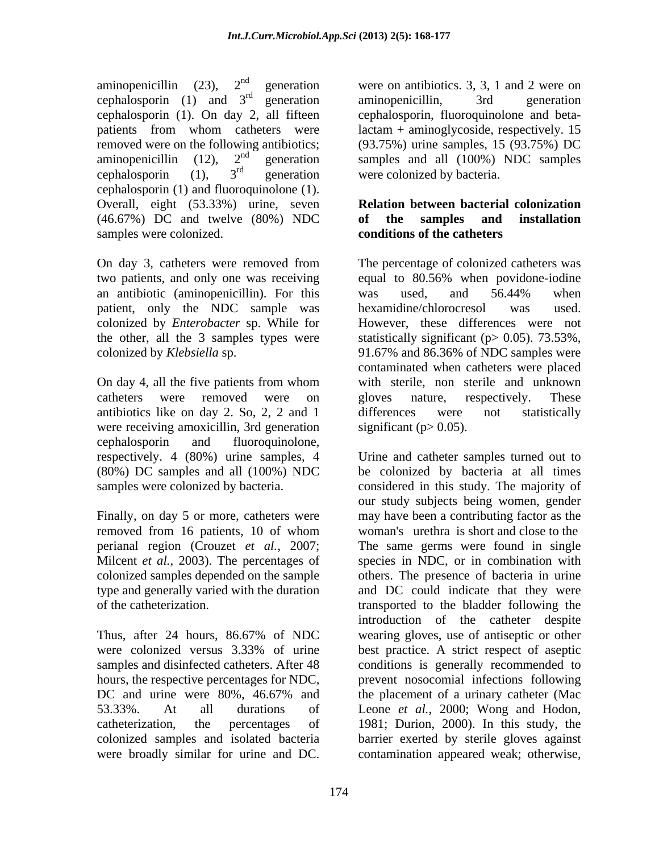aminopenicillin (23),  $2^{nd}$  generation were on antibiotics. 3, 3, 1 and 2 were on cephalosporin (1) and  $3<sup>rd</sup>$  generation aminopenicillin, 3rd generation cephalosporin (1). On day 2, all fifteen patients from whom catheters were lactam + aminoglycoside, respectively. 15 removed were on the following antibiotics; (93.75%) urine samples, 15 (93.75%) DC aminopenicillin (12),  $2^{nd}$  generation samples and all (100%) NDC samples cephalosporin (1),  $3^{ra}$  generation were colonized by bacteria. cephalosporin (1) and fluoroquinolone (1).<br>Overall, eight (53.33%) urine, seven **Relation between bacterial colonization** (46.67%) DC and twelve (80%) NDC

an antibiotic (aminopenicillin). For this was used, and 56.44% when patient, only the NDC sample was hexamidine/chlorocresol was used. colonized by *Enterobacter* sp. While for

antibiotics like on day 2. So, 2, 2 and 1 were receiving amoxicillin, 3rd generation cephalosporin and fluoroquinolone,<br>respectively. 4 (80%) urine samples, 4 Urine and catheter samples turned out to

removed from 16 patients, 10 of whom perianal region (Crouzet *et al.*, 2007; Milcent *et al.*, 2003). The percentages of

hours, the respective percentages for NDC, colonized samples and isolated bacteria

 $r<sup>rd</sup>$  concretion eminepensivillip  $r<sup>2rd</sup>$  concretion generation aminopenicillin, 3rd generation <sup>rd</sup> generation were colonized by bacteria. aminopenicillin, 3rd generation cephalosporin, fluoroquinolone and beta-

## **Relation between bacterial colonization of the samples and installation conditions of the catheters**

samples were colonized.<br>
On day 3, catheters were removed from The percentage of colonized catheters was two patients, and only one was receiving equal to 80.56% when povidone-iodine the other, all the 3 samples types were statistically significant ( $p > 0.05$ ). 73.53%, colonized by *Klebsiella* sp. 91.67% and 86.36% of NDC samples were On day 4, all the five patients from whom catheters were removed were on gloves nature, respectively. These The percentage of colonized catheters was was used, and 56.44% when hexamidine/chlorocresol was used. However, these differences were not contaminated when catheters were placed with sterile, non sterile and unknown gloves nature, respectively. These differences were not statistically significant ( $p > 0.05$ ).

(80%) DC samples and all (100%) NDC be colonized by bacteria at all times samples were colonized by bacteria. considered in this study. The majority of Finally, on day 5 or more, catheters were may have been a contributing factor as the Urine and catheter samples turned out to our study subjects being women, gender woman's urethra is short and close to the colonized samples depended on the sample others. The presence of bacteria in urine type and generally varied with the duration and DC could indicate that they were of the catheterization. transported to the bladder following the<br>introduction of the catheter despite<br>Thus, after 24 hours, 86.67% of NDC wearing gloves, use of antiseptic or other were colonized versus 3.33% of urine best practice. A strict respect of aseptic samples and disinfected catheters. After 48 conditions is generally recommended to DC and urine were 80%, 46.67% and the placement of a urinary catheter (Mac 53.33%. At all durations of Leone *et al.*, 2000; Wong and Hodon, catheterization, the percentages of 1981; Durion, 2000). In this study, the perianal region (Crouzet *et al.*, 2007; The same germs were found in single Milcent *et al.*, 2003). The percentages of species in NDC, or in combination with type and generally varied on the sample others. The presence species in NDC, or in combination with transported to the bladder following the introduction of the catheter despite wearing gloves, use of antiseptic or other best practice. A strict respect of aseptic prevent nosocomial infections following the placement of a urinary catheter (Mac barrier exerted by sterile gloves against contamination appeared weak; otherwise,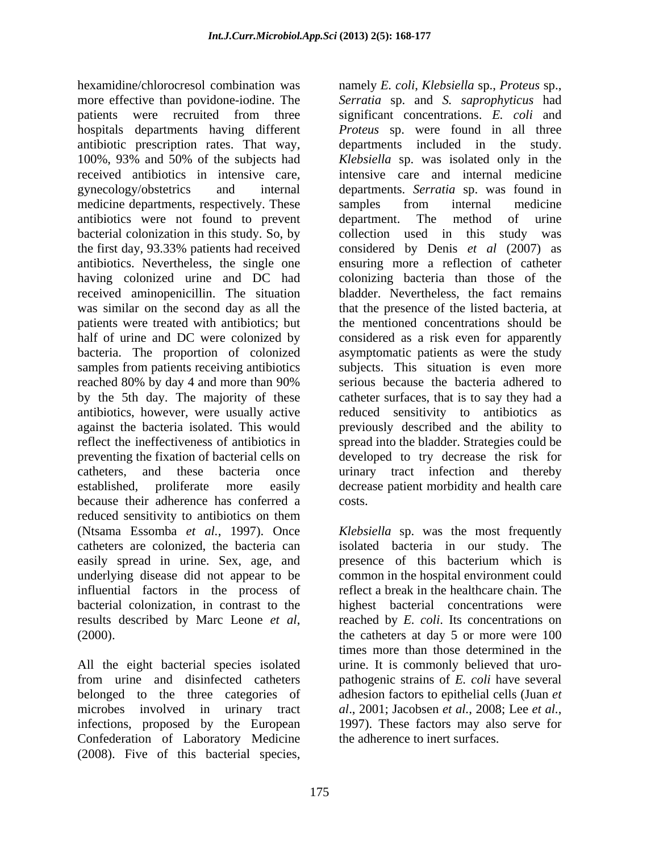hexamidine/chlorocresol combination was namely *E. coli*, *Klebsiella* sp., *Proteus* sp., more effective than povidone-iodine. The *Serratia* sp. and *S. saprophyticus* had patients were recruited from three significant concentrations. E. coli and hospitals departments having different *Proteus* sp. were found in all three antibiotic prescription rates. That way, departments included in the study. 100%, 93% and 50% of the subjects had *Klebsiella* sp. was isolated only in the received antibiotics in intensive care, intensive care and internal medicine gynecology/obstetrics and internal departments. *Serratia* sp. was found in medicine departments, respectively. These samples from internal medicine antibiotics were not found to prevent bacterial colonization in this study. So, by collection used in this study was the first day, 93.33% patients had received antibiotics. Nevertheless, the single one ensuring more a reflection of catheter having colonized urine and DC had colonizing bacteria than those of the received aminopenicillin. The situation bladder. Nevertheless, the fact remains was similar on the second day as all the patients were treated with antibiotics; but half of urine and DC were colonized by considered as a risk even for apparently bacteria. The proportion of colonized asymptomatic patients as were the study samples from patients receiving antibiotics subjects. This situation is even more reached 80% by day 4 and more than 90% by the 5th day. The majority of these catheter surfaces, that is to say they had a antibiotics, however, were usually active reduced sensitivity to antibiotics as against the bacteria isolated. This would previously described and the ability to reflect the ineffectiveness of antibiotics in spread into the bladder. Strategies could be preventing the fixation of bacterial cells on catheters, and these bacteria once urinary tract infection and thereby established, proliferate more easily decrease patient morbidity and health care because their adherence has conferred a reduced sensitivity to antibiotics on them (Ntsama Essomba *et al.*, 1997). Once *Klebsiella* sp. was the most frequently catheters are colonized, the bacteria can isolated bacteria in our study. The easily spread in urine. Sex, age, and presence of this bacterium which is underlying disease did not appear to be influential factors in the process of bacterial colonization, in contrast to the highest bacterial concentrations were

All the eight bacterial species isolated microbes involved in urinary tract al., 2001; Jacobsen et al., 2008; Lee et al., infections, proposed by the European 1997). These factors may also serve for Confederation of Laboratory Medicine (2008). Five of this bacterial species,

significant concentrations. *E. coli* and samples from internal medicine department. The method of urine collection used in this study considered by Denis *et al* (2007) as that the presence of the listed bacteria, at the mentioned concentrations should be serious because the bacteria adhered to developed to try decrease the risk for costs.

results described by Marc Leone *et al*, reached by *E. coli.* Its concentrations on the catherers at day 5 or more were 100 from urine and disinfected catheters pathogenic strains of *E. coli* have several belonged to the three categories of adhesion factors to epithelial cells (Juan *et*  presence of this bacterium which is common in the hospital environment could reflect a break in the healthcare chain. The reached by *E. coli*. Its concentrations on the catheters at day 5 or more were 100 times more than those determined in the urine. It is commonly believed that uro *al*., 2001; Jacobsen *et al.*, 2008; Lee *et al.*, 1997). These factors may also serve for the adherence to inert surfaces.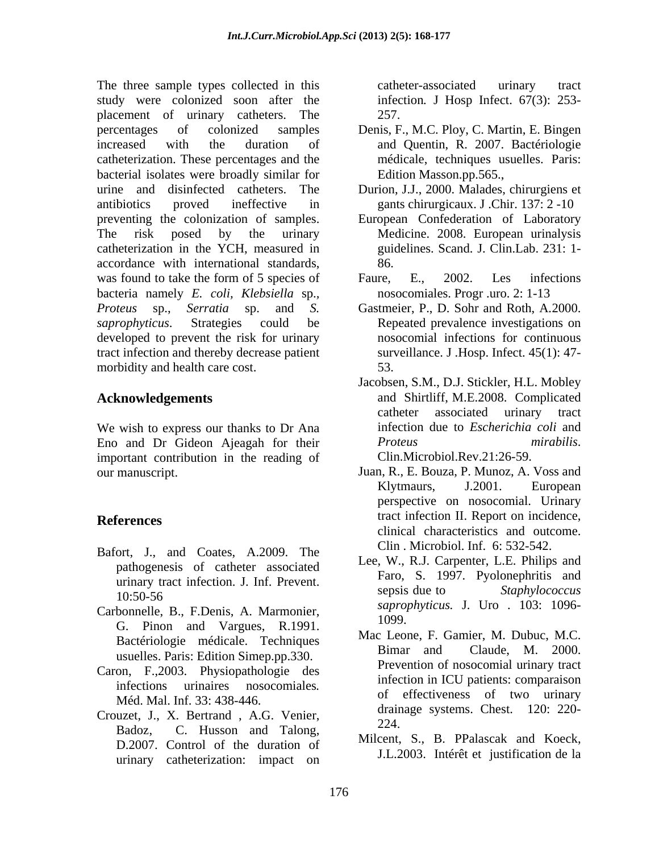The three sample types collected in this catheter-associated urinary tract study were colonized soon after the placement of urinary catheters. The percentages of colonized samples Denis, F., M.C. Ploy, C. Martin, E. Bingen increased with the duration of and Quentin, R. 2007. Bactériologie catheterization. These percentages and the bacterial isolates were broadly similar for urine and disinfected catheters. The Durion, J.J., 2000. Malades, chirurgiens et antibiotics proved ineffective in gants chirurgicaux. J .Chir. 137: 2 -10 preventing the colonization of samples. European Confederation of Laboratory The risk posed by the urinary Medicine. 2008. European urinalysis catheterization in the YCH, measured in guidelines. Scand. J. Clin.Lab. 231: 1 accordance with international standards, was found to take the form of 5 species of Faure, E., 2002. Les infections bacteria namely *E. coli, Klebsiella* sp.*, Proteus* sp., *Serratia* sp. and *S. saprophyticus*. Strategies could be Repeated prevalence investigations on developed to prevent the risk for urinary tract infection and thereby decrease patient morbidity and health care cost. 53.

We wish to express our thanks to Dr Ana Eno and Dr Gideon Ajeagah for their *Proteus mirabilis.*<br>
important contribution in the reading of Clin.Microbiol.Rev.21:26-59. important contribution in the reading of

- Bafort, J., and Coates, A.2009. The pathogenesis of catheter associated
- Carbonnelle, B., F.Denis, A. Marmonier,  $\frac{\text{Supp}}{1099}$ G. Pinon and Vargues, R.1991. usuelles. Paris: Edition Simep.pp.330.
- Caron, F.,2003. Physiopathologie des Méd. Mal. Inf. 33: 438-446.
- Crouzet, J., X. Bertrand , A.G. Venier, and analysis visions. Cliest. 120. 220-<br>Badoz, C. Husson and Talong, 224. D.2007. Control of the duration of urinary catheterization: impact on

catheter-associated urinary tract infection*.* J Hosp Infect. 67(3): 253- 257.

- médicale, techniques usuelles. Paris: Edition Masson.pp.565.,
- 
- 86.
- Faure, E., 2002. Les infections nosocomiales. Progr .uro. 2: 1-13
- Gastmeier, P., D. Sohr and Roth, A*.*2000.nosocomial infections for continuous surveillance. J .Hosp. Infect. 45(1): 47- 53.
- **Acknowledgements** and Shirtliff, M.E.2008. Complicated Jacobsen, S.M., D.J. Stickler, H.L. Mobley catheter associated urinary tract infection due to *Escherichia coli* and *Proteus mirabilis*. Clin.Microbiol.Rev.21:26-59. Juan, R., E. Bouza, P. Munoz, A. Voss and
- our manuscript.<br>
Juan, R., E. Bouza, P. Munoz, A. Voss and<br>
Klytmaurs, J.2001. European **References** tract infection II. Report on incidence, Klytmaurs, J.2001. European perspective on nosocomial. Urinary clinical characteristics and outcome. Clin . Microbiol. Inf. 6: 532-542.
	- urinary tract infection. J. Inf. Prevent.<br>sepsis due to Staphylococcus  $10:50-56$  Sepsis due to *Supplybe occurs* Lee, W., R.J. Carpenter, L.E. Philips and Faro, S. 1997. Pyolonephritis and sepsis due to *Staphylococcus saprophyticus.* J. Uro . 103: 1096- 1099.
	- Bactériologie médicale. Techniques Mac Leone, F. Gamlet, M. Dubuc, M.C.<br>Bimar and Claude, M. 2000. infections urinaires nosocomiales*.* Mac Leone, F. Gamier, M. Dubuc, M.C. Bimar and Claude, M. 2000. Prevention of nosocomial urinary tract infection in ICU patients: comparaison of effectiveness of two urinary drainage systems. Chest. 120: 220- 224.
		- Milcent, S., B. PPalascak and Koeck, J.L.2003. Intérêt et justification de la